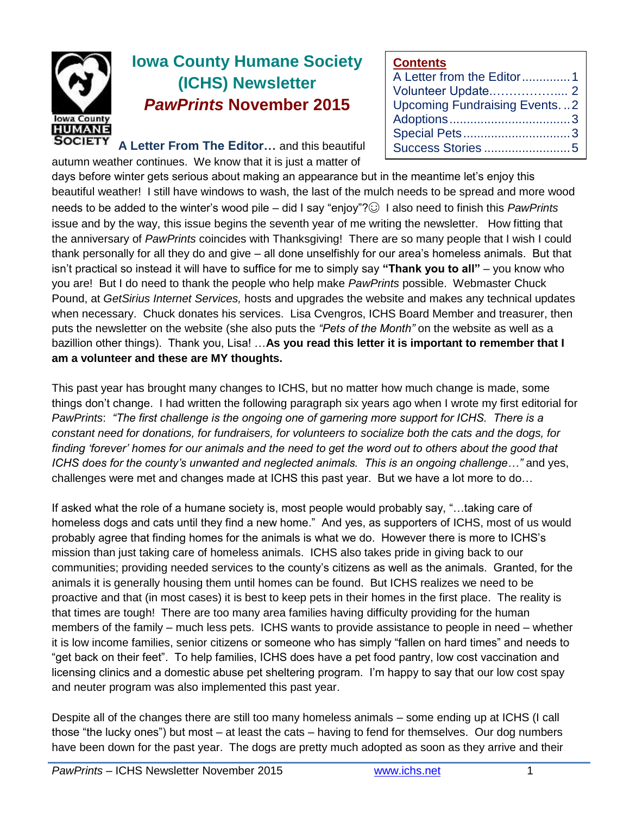

# **Iowa County Humane Society (ICHS) Newsletter** *PawPrints* **November 2015**

**A Letter From The Editor…** and this beautiful autumn weather continues. We know that it is just a matter of

## **Contents**

days before winter gets serious about making an appearance but in the meantime let's enjoy this beautiful weather! I still have windows to wash, the last of the mulch needs to be spread and more wood needs to be added to the winter's wood pile – did I say "enjoy"?☺ I also need to finish this *PawPrints* issue and by the way, this issue begins the seventh year of me writing the newsletter. How fitting that the anniversary of *PawPrints* coincides with Thanksgiving!There are so many people that I wish I could thank personally for all they do and give – all done unselfishly for our area's homeless animals. But that isn't practical so instead it will have to suffice for me to simply say **"Thank you to all"** – you know who you are! But I do need to thank the people who help make *PawPrints* possible. Webmaster Chuck Pound, at *GetSirius Internet Services,* hosts and upgrades the website and makes any technical updates when necessary. Chuck donates his services. Lisa Cvengros, ICHS Board Member and treasurer, then puts the newsletter on the website (she also puts the *"Pets of the Month"* on the website as well as a bazillion other things). Thank you, Lisa! …**As you read this letter it is important to remember that I am a volunteer and these are MY thoughts.**

This past year has brought many changes to ICHS, but no matter how much change is made, some things don't change. I had written the following paragraph six years ago when I wrote my first editorial for *PawPrints*: *"The first challenge is the ongoing one of garnering more support for ICHS. There is a constant need for donations, for fundraisers, for volunteers to socialize both the cats and the dogs, for finding 'forever' homes for our animals and the need to get the word out to others about the good that ICHS does for the county's unwanted and neglected animals. This is an ongoing challenge…"* and yes, challenges were met and changes made at ICHS this past year. But we have a lot more to do…

If asked what the role of a humane society is, most people would probably say, "…taking care of homeless dogs and cats until they find a new home." And yes, as supporters of ICHS, most of us would probably agree that finding homes for the animals is what we do. However there is more to ICHS's mission than just taking care of homeless animals. ICHS also takes pride in giving back to our communities; providing needed services to the county's citizens as well as the animals. Granted, for the animals it is generally housing them until homes can be found. But ICHS realizes we need to be proactive and that (in most cases) it is best to keep pets in their homes in the first place. The reality is that times are tough! There are too many area families having difficulty providing for the human members of the family – much less pets. ICHS wants to provide assistance to people in need – whether it is low income families, senior citizens or someone who has simply "fallen on hard times" and needs to "get back on their feet". To help families, ICHS does have a pet food pantry, low cost vaccination and licensing clinics and a domestic abuse pet sheltering program. I'm happy to say that our low cost spay and neuter program was also implemented this past year.

Despite all of the changes there are still too many homeless animals – some ending up at ICHS (I call those "the lucky ones") but most – at least the cats – having to fend for themselves. Our dog numbers have been down for the past year. The dogs are pretty much adopted as soon as they arrive and their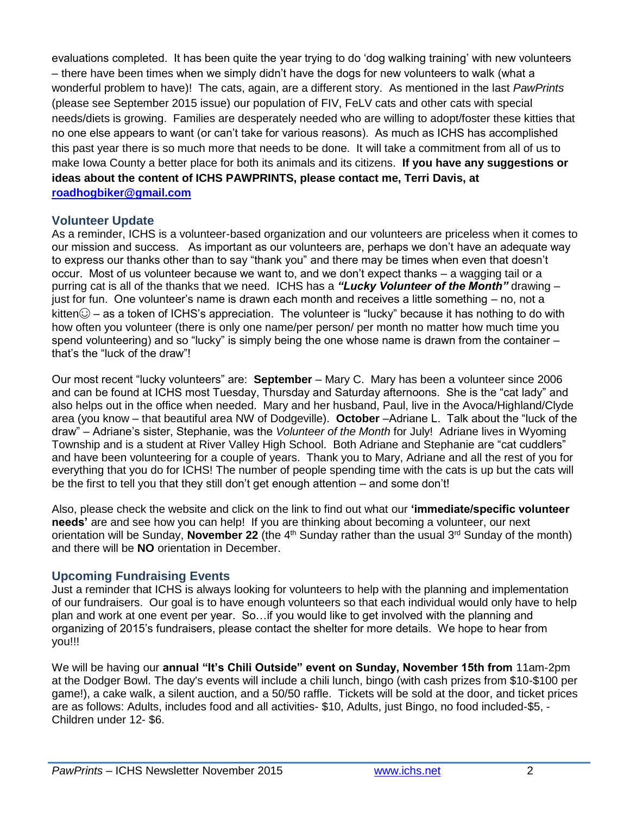evaluations completed. It has been quite the year trying to do 'dog walking training' with new volunteers – there have been times when we simply didn't have the dogs for new volunteers to walk (what a wonderful problem to have)! The cats, again, are a different story. As mentioned in the last *PawPrints*  (please see September 2015 issue) our population of FIV, FeLV cats and other cats with special needs/diets is growing. Families are desperately needed who are willing to adopt/foster these kitties that no one else appears to want (or can't take for various reasons). As much as ICHS has accomplished this past year there is so much more that needs to be done. It will take a commitment from all of us to make Iowa County a better place for both its animals and its citizens. **If you have any suggestions or ideas about the content of ICHS PAWPRINTS, please contact me, Terri Davis, at [roadhogbiker@gmail.com](mailto:roadhogbiker@gmail.com)**

#### **Volunteer Update**

As a reminder, ICHS is a volunteer-based organization and our volunteers are priceless when it comes to our mission and success. As important as our volunteers are, perhaps we don't have an adequate way to express our thanks other than to say "thank you" and there may be times when even that doesn't occur. Most of us volunteer because we want to, and we don't expect thanks – a wagging tail or a purring cat is all of the thanks that we need. ICHS has a *"Lucky Volunteer of the Month"* drawing – just for fun. One volunteer's name is drawn each month and receives a little something – no, not a kitten $\odot$  – as a token of ICHS's appreciation. The volunteer is "lucky" because it has nothing to do with how often you volunteer (there is only one name/per person/ per month no matter how much time you spend volunteering) and so "lucky" is simply being the one whose name is drawn from the container – that's the "luck of the draw"!

Our most recent "lucky volunteers" are: **September** – Mary C. Mary has been a volunteer since 2006 and can be found at ICHS most Tuesday, Thursday and Saturday afternoons. She is the "cat lady" and also helps out in the office when needed. Mary and her husband, Paul, live in the Avoca/Highland/Clyde area (you know – that beautiful area NW of Dodgeville). **October** –Adriane L. Talk about the "luck of the draw" – Adriane's sister, Stephanie, was the *Volunteer of the Month* for July! Adriane lives in Wyoming Township and is a student at River Valley High School. Both Adriane and Stephanie are "cat cuddlers" and have been volunteering for a couple of years. Thank you to Mary, Adriane and all the rest of you for everything that you do for ICHS! The number of people spending time with the cats is up but the cats will be the first to tell you that they still don't get enough attention – and some don't!

Also, please check the website and click on the link to find out what our **'immediate/specific volunteer needs'** are and see how you can help! If you are thinking about becoming a volunteer, our next orientation will be Sunday, **November 22** (the  $4<sup>th</sup>$  Sunday rather than the usual  $3<sup>rd</sup>$  Sunday of the month) and there will be **NO** orientation in December.

#### **Upcoming Fundraising Events**

Just a reminder that ICHS is always looking for volunteers to help with the planning and implementation of our fundraisers. Our goal is to have enough volunteers so that each individual would only have to help plan and work at one event per year. So…if you would like to get involved with the planning and organizing of 2015's fundraisers, please contact the shelter for more details. We hope to hear from you!!!

We will be having our **annual "It's Chili Outside" event on Sunday, November 15th from** 11am-2pm at the Dodger Bowl. The day's events will include a chili lunch, bingo (with cash prizes from \$10-\$100 per game!), a cake walk, a silent auction, and a 50/50 raffle. Tickets will be sold at the door, and ticket prices are as follows: Adults, includes food and all activities- \$10, Adults, just Bingo, no food included-\$5, - Children under 12- \$6.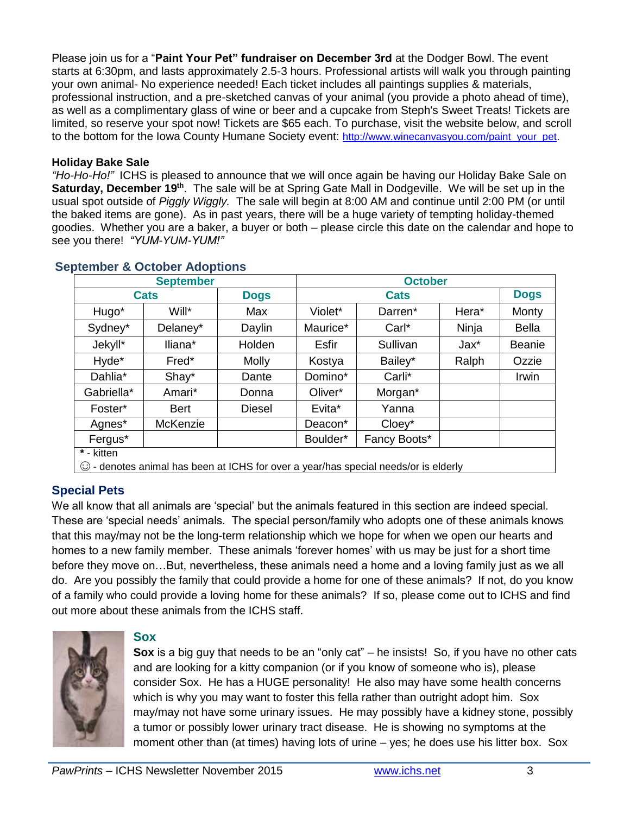Please join us for a "**Paint Your Pet" fundraiser on December 3rd** at the Dodger Bowl. The event starts at 6:30pm, and lasts approximately 2.5-3 hours. Professional artists will walk you through painting your own animal- No experience needed! Each ticket includes all paintings supplies & materials, professional instruction, and a pre-sketched canvas of your animal (you provide a photo ahead of time), as well as a complimentary glass of wine or beer and a cupcake from Steph's Sweet Treats! Tickets are limited, so reserve your spot now! Tickets are \$65 each. To purchase, visit the website below, and scroll to the bottom for the Iowa County Humane Society event: [http://www.winecanvasyou.com/paint\\_your\\_pet.](http://www.winecanvasyou.com/paint_your_pet)

#### **Holiday Bake Sale**

*"Ho-Ho-Ho!"* ICHS is pleased to announce that we will once again be having our Holiday Bake Sale on **Saturday, December 19th**. The sale will be at Spring Gate Mall in Dodgeville. We will be set up in the usual spot outside of *Piggly Wiggly.* The sale will begin at 8:00 AM and continue until 2:00 PM (or until the baked items are gone). As in past years, there will be a huge variety of tempting holiday-themed goodies. Whether you are a baker, a buyer or both – please circle this date on the calendar and hope to see you there! *"YUM-YUM-YUM!"*

| <b>September</b>                                                                    |             |               | <b>October</b> |              |       |               |
|-------------------------------------------------------------------------------------|-------------|---------------|----------------|--------------|-------|---------------|
| <b>Cats</b>                                                                         |             | <b>Dogs</b>   | <b>Cats</b>    |              |       | <b>Dogs</b>   |
| Hugo*                                                                               | Will*       | Max           | Violet*        | Darren*      | Hera* | Monty         |
| Sydney*                                                                             | Delaney*    | Daylin        | Maurice*       | Carl*        | Ninja | <b>Bella</b>  |
| Jekyll*                                                                             | Iliana*     | Holden        | Esfir          | Sullivan     | Jax*  | <b>Beanie</b> |
| Hyde*                                                                               | Fred*       | <b>Molly</b>  | Kostya         | Bailey*      | Ralph | Ozzie         |
| Dahlia*                                                                             | Shay*       | Dante         | Domino*        | Carli*       |       | Irwin         |
| Gabriella*                                                                          | Amari*      | Donna         | Oliver*        | Morgan*      |       |               |
| Foster*                                                                             | <b>Bert</b> | <b>Diesel</b> | Evita*         | Yanna        |       |               |
| Agnes*                                                                              | McKenzie    |               | Deacon*        | Cloey*       |       |               |
| Fergus*                                                                             |             |               | Boulder*       | Fancy Boots* |       |               |
| * - kitten                                                                          |             |               |                |              |       |               |
| © - denotes animal has been at ICHS for over a year/has special needs/or is elderly |             |               |                |              |       |               |

# **September & October Adoptions**

## **Special Pets**

We all know that all animals are 'special' but the animals featured in this section are indeed special. These are 'special needs' animals. The special person/family who adopts one of these animals knows that this may/may not be the long-term relationship which we hope for when we open our hearts and homes to a new family member. These animals 'forever homes' with us may be just for a short time before they move on…But, nevertheless, these animals need a home and a loving family just as we all do. Are you possibly the family that could provide a home for one of these animals? If not, do you know of a family who could provide a loving home for these animals? If so, please come out to ICHS and find out more about these animals from the ICHS staff.



#### **Sox**

**Sox** is a big guy that needs to be an "only cat" – he insists! So, if you have no other cats and are looking for a kitty companion (or if you know of someone who is), please consider Sox. He has a HUGE personality! He also may have some health concerns which is why you may want to foster this fella rather than outright adopt him. Sox may/may not have some urinary issues. He may possibly have a kidney stone, possibly a tumor or possibly lower urinary tract disease. He is showing no symptoms at the moment other than (at times) having lots of urine – yes; he does use his litter box. Sox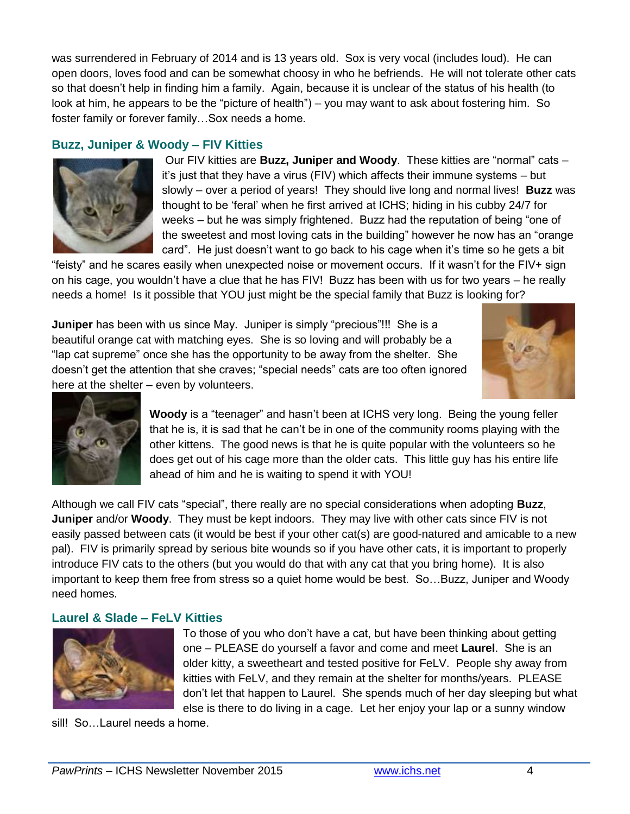was surrendered in February of 2014 and is 13 years old. Sox is very vocal (includes loud). He can open doors, loves food and can be somewhat choosy in who he befriends. He will not tolerate other cats so that doesn't help in finding him a family. Again, because it is unclear of the status of his health (to look at him, he appears to be the "picture of health") – you may want to ask about fostering him. So foster family or forever family…Sox needs a home.

## **Buzz, Juniper & Woody – FIV Kitties**



Our FIV kitties are **Buzz, Juniper and Woody**. These kitties are "normal" cats – it's just that they have a virus (FIV) which affects their immune systems – but slowly – over a period of years! They should live long and normal lives! **Buzz** was thought to be 'feral' when he first arrived at ICHS; hiding in his cubby 24/7 for weeks – but he was simply frightened. Buzz had the reputation of being "one of the sweetest and most loving cats in the building" however he now has an "orange card". He just doesn't want to go back to his cage when it's time so he gets a bit

"feisty" and he scares easily when unexpected noise or movement occurs. If it wasn't for the FIV+ sign on his cage, you wouldn't have a clue that he has FIV! Buzz has been with us for two years – he really needs a home! Is it possible that YOU just might be the special family that Buzz is looking for?

**Juniper** has been with us since May. Juniper is simply "precious"!!! She is a beautiful orange cat with matching eyes. She is so loving and will probably be a "lap cat supreme" once she has the opportunity to be away from the shelter. She doesn't get the attention that she craves; "special needs" cats are too often ignored here at the shelter – even by volunteers.





**Woody** is a "teenager" and hasn't been at ICHS very long. Being the young feller that he is, it is sad that he can't be in one of the community rooms playing with the other kittens. The good news is that he is quite popular with the volunteers so he does get out of his cage more than the older cats. This little guy has his entire life ahead of him and he is waiting to spend it with YOU!

Although we call FIV cats "special", there really are no special considerations when adopting **Buzz**, **Juniper** and/or **Woody**. They must be kept indoors. They may live with other cats since FIV is not easily passed between cats (it would be best if your other cat(s) are good-natured and amicable to a new pal). FIV is primarily spread by serious bite wounds so if you have other cats, it is important to properly introduce FIV cats to the others (but you would do that with any cat that you bring home). It is also important to keep them free from stress so a quiet home would be best. So…Buzz, Juniper and Woody need homes.

## **Laurel & Slade – FeLV Kitties**



To those of you who don't have a cat, but have been thinking about getting one – PLEASE do yourself a favor and come and meet **Laurel**. She is an older kitty, a sweetheart and tested positive for FeLV. People shy away from kitties with FeLV, and they remain at the shelter for months/years. PLEASE don't let that happen to Laurel. She spends much of her day sleeping but what else is there to do living in a cage. Let her enjoy your lap or a sunny window

sill! So...Laurel needs a home.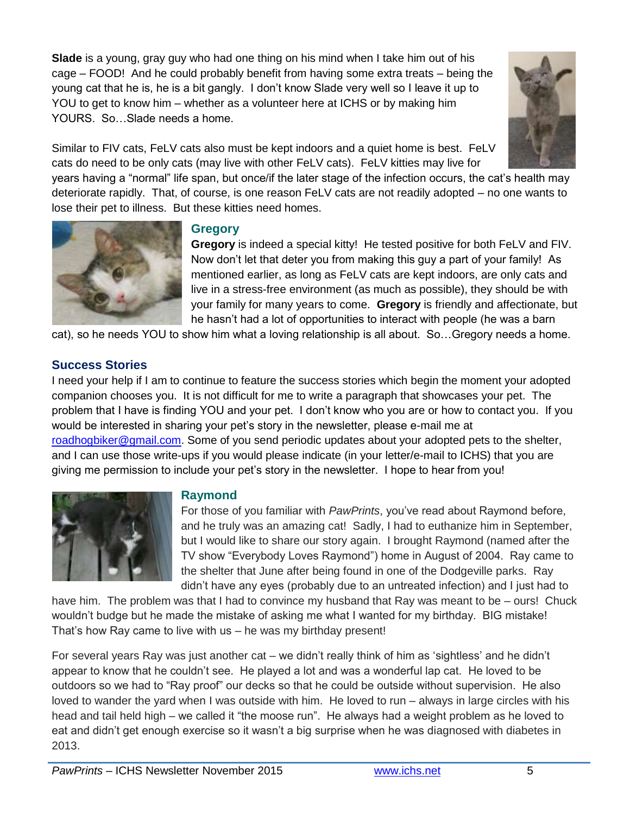**Slade** is a young, gray guy who had one thing on his mind when I take him out of his cage – FOOD! And he could probably benefit from having some extra treats – being the young cat that he is, he is a bit gangly. I don't know Slade very well so I leave it up to YOU to get to know him – whether as a volunteer here at ICHS or by making him YOURS. So…Slade needs a home.



Similar to FIV cats, FeLV cats also must be kept indoors and a quiet home is best. FeLV cats do need to be only cats (may live with other FeLV cats). FeLV kitties may live for

years having a "normal" life span, but once/if the later stage of the infection occurs, the cat's health may deteriorate rapidly. That, of course, is one reason FeLV cats are not readily adopted – no one wants to lose their pet to illness. But these kitties need homes.



## **Gregory**

**Gregory** is indeed a special kitty! He tested positive for both FeLV and FIV. Now don't let that deter you from making this guy a part of your family! As mentioned earlier, as long as FeLV cats are kept indoors, are only cats and live in a stress-free environment (as much as possible), they should be with your family for many years to come. **Gregory** is friendly and affectionate, but he hasn't had a lot of opportunities to interact with people (he was a barn

cat), so he needs YOU to show him what a loving relationship is all about. So…Gregory needs a home.

## **Success Stories**

I need your help if I am to continue to feature the success stories which begin the moment your adopted companion chooses you. It is not difficult for me to write a paragraph that showcases your pet. The problem that I have is finding YOU and your pet. I don't know who you are or how to contact you. If you would be interested in sharing your pet's story in the newsletter, please e-mail me at [roadhogbiker@gmail.com.](mailto:roadhogbiker@gmail.com) Some of you send periodic updates about your adopted pets to the shelter, and I can use those write-ups if you would please indicate (in your letter/e-mail to ICHS) that you are giving me permission to include your pet's story in the newsletter. I hope to hear from you!



## **Raymond**

For those of you familiar with *PawPrints*, you've read about Raymond before, and he truly was an amazing cat! Sadly, I had to euthanize him in September, but I would like to share our story again. I brought Raymond (named after the TV show "Everybody Loves Raymond") home in August of 2004. Ray came to the shelter that June after being found in one of the Dodgeville parks. Ray didn't have any eyes (probably due to an untreated infection) and I just had to

have him. The problem was that I had to convince my husband that Ray was meant to be – ours! Chuck wouldn't budge but he made the mistake of asking me what I wanted for my birthday. BIG mistake! That's how Ray came to live with us – he was my birthday present!

For several years Ray was just another cat – we didn't really think of him as 'sightless' and he didn't appear to know that he couldn't see. He played a lot and was a wonderful lap cat. He loved to be outdoors so we had to "Ray proof" our decks so that he could be outside without supervision. He also loved to wander the yard when I was outside with him. He loved to run – always in large circles with his head and tail held high – we called it "the moose run". He always had a weight problem as he loved to eat and didn't get enough exercise so it wasn't a big surprise when he was diagnosed with diabetes in 2013.